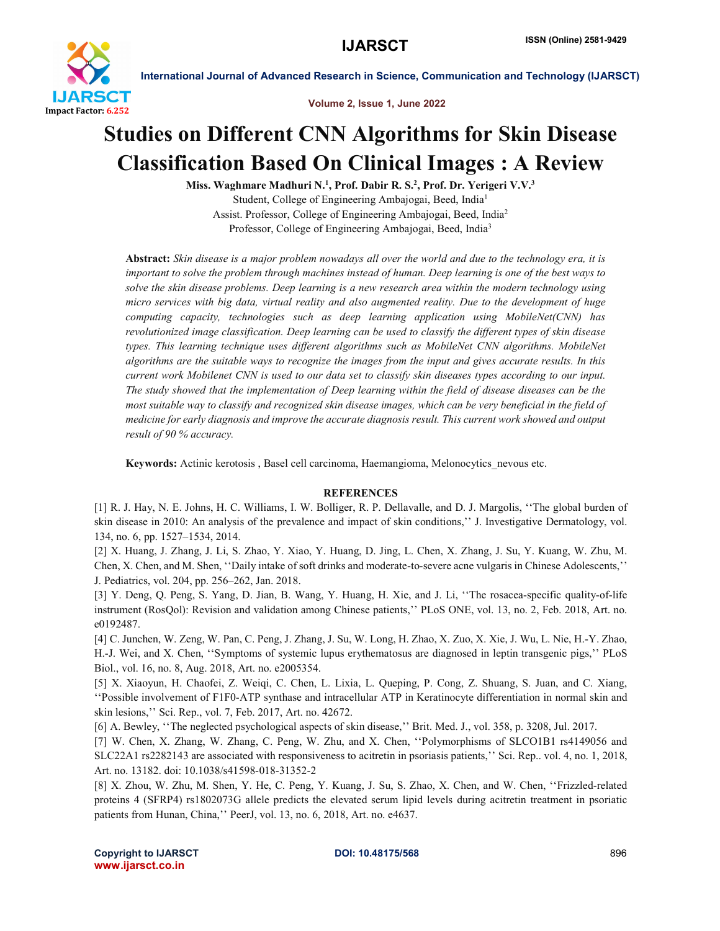

International Journal of Advanced Research in Science, Communication and Technology (IJARSCT)

Volume 2, Issue 1, June 2022

## Studies on Different CNN Algorithms for Skin Disease Classification Based On Clinical Images : A Review

Miss. Waghmare Madhuri N.<sup>1</sup>, Prof. Dabir R. S.<sup>2</sup>, Prof. Dr. Yerigeri V.V.<sup>3</sup> Student, College of Engineering Ambajogai, Beed, India1 Assist. Professor, College of Engineering Ambajogai, Beed, India2 Professor, College of Engineering Ambajogai, Beed, India<sup>3</sup>

Abstract: *Skin disease is a major problem nowadays all over the world and due to the technology era, it is important to solve the problem through machines instead of human. Deep learning is one of the best ways to solve the skin disease problems. Deep learning is a new research area within the modern technology using micro services with big data, virtual reality and also augmented reality. Due to the development of huge computing capacity, technologies such as deep learning application using MobileNet(CNN) has revolutionized image classification. Deep learning can be used to classify the different types of skin disease types. This learning technique uses different algorithms such as MobileNet CNN algorithms. MobileNet algorithms are the suitable ways to recognize the images from the input and gives accurate results. In this current work Mobilenet CNN is used to our data set to classify skin diseases types according to our input. The study showed that the implementation of Deep learning within the field of disease diseases can be the most suitable way to classify and recognized skin disease images, which can be very beneficial in the field of medicine for early diagnosis and improve the accurate diagnosis result. This current work showed and output result of 90 % accuracy.*

Keywords: Actinic kerotosis , Basel cell carcinoma, Haemangioma, Melonocytics\_nevous etc.

## **REFERENCES**

[1] R. J. Hay, N. E. Johns, H. C. Williams, I. W. Bolliger, R. P. Dellavalle, and D. J. Margolis, ''The global burden of skin disease in 2010: An analysis of the prevalence and impact of skin conditions,'' J. Investigative Dermatology, vol. 134, no. 6, pp. 1527–1534, 2014.

[2] X. Huang, J. Zhang, J. Li, S. Zhao, Y. Xiao, Y. Huang, D. Jing, L. Chen, X. Zhang, J. Su, Y. Kuang, W. Zhu, M. Chen, X. Chen, and M. Shen, ''Daily intake of soft drinks and moderate-to-severe acne vulgaris in Chinese Adolescents,'' J. Pediatrics, vol. 204, pp. 256–262, Jan. 2018.

[3] Y. Deng, Q. Peng, S. Yang, D. Jian, B. Wang, Y. Huang, H. Xie, and J. Li, ''The rosacea-specific quality-of-life instrument (RosQol): Revision and validation among Chinese patients,'' PLoS ONE, vol. 13, no. 2, Feb. 2018, Art. no. e0192487.

[4] C. Junchen, W. Zeng, W. Pan, C. Peng, J. Zhang, J. Su, W. Long, H. Zhao, X. Zuo, X. Xie, J. Wu, L. Nie, H.-Y. Zhao, H.-J. Wei, and X. Chen, ''Symptoms of systemic lupus erythematosus are diagnosed in leptin transgenic pigs,'' PLoS Biol., vol. 16, no. 8, Aug. 2018, Art. no. e2005354.

[5] X. Xiaoyun, H. Chaofei, Z. Weiqi, C. Chen, L. Lixia, L. Queping, P. Cong, Z. Shuang, S. Juan, and C. Xiang, ''Possible involvement of F1F0-ATP synthase and intracellular ATP in Keratinocyte differentiation in normal skin and skin lesions,'' Sci. Rep., vol. 7, Feb. 2017, Art. no. 42672.

[6] A. Bewley, ''The neglected psychological aspects of skin disease,'' Brit. Med. J., vol. 358, p. 3208, Jul. 2017.

[7] W. Chen, X. Zhang, W. Zhang, C. Peng, W. Zhu, and X. Chen, ''Polymorphisms of SLCO1B1 rs4149056 and SLC22A1 rs2282143 are associated with responsiveness to acitretin in psoriasis patients,'' Sci. Rep.. vol. 4, no. 1, 2018, Art. no. 13182. doi: 10.1038/s41598-018-31352-2

[8] X. Zhou, W. Zhu, M. Shen, Y. He, C. Peng, Y. Kuang, J. Su, S. Zhao, X. Chen, and W. Chen, ''Frizzled-related proteins 4 (SFRP4) rs1802073G allele predicts the elevated serum lipid levels during acitretin treatment in psoriatic patients from Hunan, China,'' PeerJ, vol. 13, no. 6, 2018, Art. no. e4637.